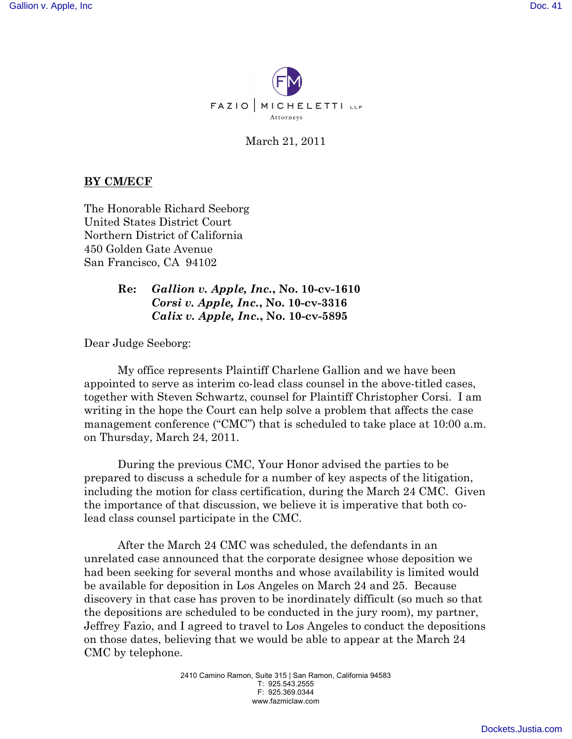

March 21, 2011

## **BY CM/ECF**

The Honorable Richard Seeborg United States District Court Northern District of California 450 Golden Gate Avenue San Francisco, CA 94102

## **Re:** *Gallion v. Apple, Inc.***, No. 10-cv-1610** *Corsi v. Apple, Inc.***, No. 10-cv-3316** *Calix v. Apple, Inc.***, No. 10-cv-5895**

Dear Judge Seeborg:

My office represents Plaintiff Charlene Gallion and we have been appointed to serve as interim co-lead class counsel in the above-titled cases, together with Steven Schwartz, counsel for Plaintiff Christopher Corsi. I am writing in the hope the Court can help solve a problem that affects the case management conference ("CMC") that is scheduled to take place at 10:00 a.m. on Thursday, March 24, 2011.

During the previous CMC, Your Honor advised the parties to be prepared to discuss a schedule for a number of key aspects of the litigation, including the motion for class certification, during the March 24 CMC. Given the importance of that discussion, we believe it is imperative that both colead class counsel participate in the CMC.

After the March 24 CMC was scheduled, the defendants in an unrelated case announced that the corporate designee whose deposition we had been seeking for several months and whose availability is limited would be available for deposition in Los Angeles on March 24 and 25. Because discovery in that case has proven to be inordinately difficult (so much so that the depositions are scheduled to be conducted in the jury room), my partner, Jeffrey Fazio, and I agreed to travel to Los Angeles to conduct the depositions on those dates, believing that we would be able to appear at the March 24 CMC by telephone.

> 2410 Camino Ramon, Suite 315 | San Ramon, California 94583 T: 925.543.2555 F: 925.369.0344 www.fazmiclaw.com